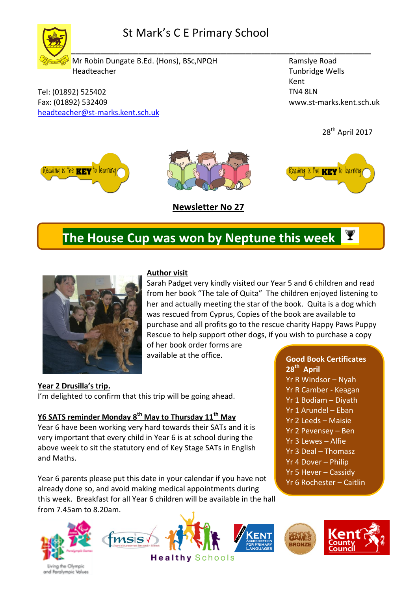

Tel: (01892) 525402 Fax: (01892) 532409

[headteacher@st-marks.kent.sch.uk](mailto:headteacher@st-marks.kent.sch.uk) 

Ramslye Road Tunbridge Wells Kent TN4 8LN www.st-marks.kent.sch.uk





# **The House Cup was won by Neptune this week**



### **Author visit**

Sarah Padget very kindly visited our Year 5 and 6 children and read from her book "The tale of Quita" The children enjoyed listening to her and actually meeting the star of the book. Quita is a dog which was rescued from Cyprus, Copies of the book are available to purchase and all profits go to the rescue charity Happy Paws Puppy Rescue to help support other dogs, if you wish to purchase a copy

of her book order forms are available at the office.

**Year 2 Drusilla's trip.** I'm delighted to confirm that this trip will be going ahead.

### **Y6 SATS reminder Monday 8th May to Thursday 11th May**

Year 6 have been working very hard towards their SATs and it is very important that every child in Year 6 is at school during the above week to sit the statutory end of Key Stage SATs in English and Maths.

Year 6 parents please put this date in your calendar if you have not already done so, and avoid making medical appointments during this week. Breakfast for all Year 6 children will be available in the hall from 7.45am to 8.20am.







Yr R Windsor – Nyah Yr R Camber - Keagan Yr 1 Bodiam – Diyath Yr 1 Arundel – Eban Yr 2 Leeds – Maisie Yr 2 Pevensey – Ben Yr 3 Lewes – Alfie Yr 3 Deal – Thomasz Yr 4 Dover – Philip Yr 5 Hever – Cassidy Yr 6 Rochester – Caitlin